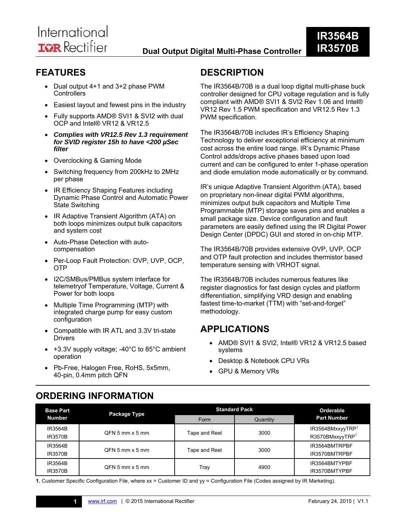#### **Dual Output Digital Multi-Phase Controller**

# **IR3564B IR3570B**

### **FEATURES**

- Dual output 4+1 and 3+2 phase PWM **Controllers**
- Easiest layout and fewest pins in the industry
- Fully supports AMD<sup>®</sup> SVI1 & SVI2 with dual OCP and Intel® VR12 & VR12.5
- *Complies with VR12.5 Rev 1.3 requirement for SVID register 15h to have <200 µSec filter*
- Overclocking & Gaming Mode
- Switching frequency from 200kHz to 2MHz per phase
- IR Efficiency Shaping Features including Dynamic Phase Control and Automatic Power State Switching
- IR Adaptive Transient Algorithm (ATA) on both loops minimizes output bulk capacitors and system cost
- Auto-Phase Detection with autocompensation
- Per-Loop Fault Protection: OVP, UVP, OCP, OTP
- I2C/SMBus/PMBus system interface for telemetryof Temperature, Voltage, Current & Power for both loops
- Multiple Time Programming (MTP) with integrated charge pump for easy custom configuration
- Compatible with IR ATL and 3.3V tri-state Drivers
- +3.3V supply voltage; -40°C to 85°C ambient operation
- Pb-Free, Halogen Free, RoHS, 5x5mm, 40-pin, 0.4mm pitch QFN

### **DESCRIPTION**

The IR3564B/70B is a dual loop digital multi-phase buck controller designed for CPU voltage regulation and is fully compliant with AMD® SVI1 & SVI2 Rev 1.06 and Intel® VR12 Rev 1.5 PWM specification and VR12.5 Rev 1.3 PWM specification.

The IR3564B/70B includes IR's Efficiency Shaping Technology to deliver exceptional efficiency at minimum cost across the entire load range. IR's Dynamic Phase Control adds/drops active phases based upon load current and can be configured to enter 1-phase operation and diode emulation mode automatically or by command.

IR's unique Adaptive Transient Algorithm (ATA), based on proprietary non-linear digital PWM algorithms, minimizes output bulk capacitors and Multiple Time Programmable (MTP) storage saves pins and enables a small package size. Device configuration and fault parameters are easily defined using the IR Digital Power Design Center (DPDC) GUI and stored in on-chip MTP.

The IR3564B/70B provides extensive OVP, UVP, OCP and OTP fault protection and includes thermistor based temperature sensing with VRHOT signal.

The IR3564B/70B includes numerous features like register diagnostics for fast design cycles and platform differentiation, simplifying VRD design and enabling fastest time-to-market (TTM) with "set-and-forget" methodology.

### **APPLICATIONS**

- AMD® SVI1 & SVI2, Intel® VR12 & VR12.5 based systems
- Desktop & Notebook CPU VRs
- GPU & Memory VRs

## **ORDERING INFORMATION**

| <b>Base Part</b><br><b>Number</b> | Package Type           | <b>Standard Pack</b> |          | Orderable          |
|-----------------------------------|------------------------|----------------------|----------|--------------------|
|                                   |                        | Form                 | Quantity | <b>Part Number</b> |
| IR3564B                           | QFN 5 mm x 5 mm        | Tape and Reel        | 3000     | IR3564BMxxyyTRP    |
| IR3570B                           |                        |                      |          | R3570BMxxyyTRP1    |
| IR3564B                           | QFN 5 mm x 5 mm        | Tape and Reel        | 3000     | IR3564BMTRPBF      |
| IR3570B                           |                        |                      |          | IR3570BMTRPBF      |
| IR3564B                           | $QFN 5 mm \times 5 mm$ | Trav                 | 4900     | IR3564BMTYPBF      |
| <b>IR3570B</b>                    |                        |                      |          | IR3570BMTYPBF      |

**1.** Customer Specific Configuration File, where xx = Customer ID and yy = Configuration File (Codes assigned by IR Marketing).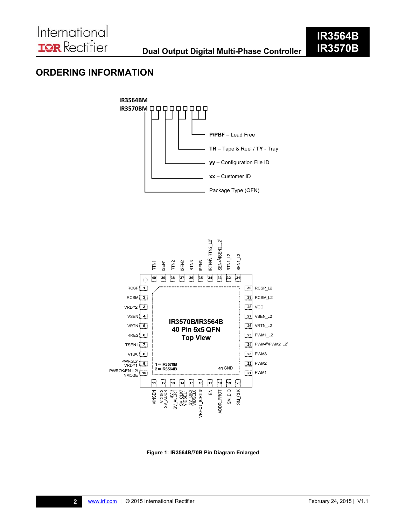

#### **ORDERING INFORMATION**



**Figure 1: IR3564B/70B Pin Diagram Enlarged**